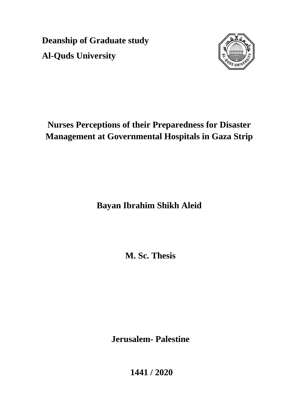**Deanship of Graduate study Al-Quds University**



# **Nurses Perceptions of their Preparedness for Disaster Management at Governmental Hospitals in Gaza Strip**

**Bayan Ibrahim Shikh Aleid**

**M. Sc. Thesis**

**Jerusalem- Palestine**

**1441 / 2020**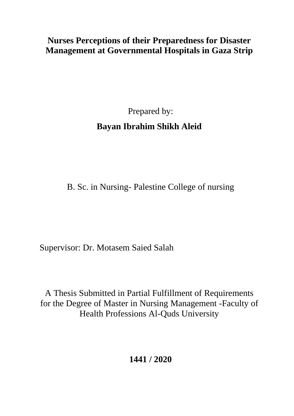## **Nurses Perceptions of their Preparedness for Disaster Management at Governmental Hospitals in Gaza Strip**

Prepared by: **Bayan Ibrahim Shikh Aleid**

B. Sc. in Nursing- Palestine College of nursing

Supervisor: Dr. Motasem Saied Salah

A Thesis Submitted in Partial Fulfillment of Requirements for the Degree of Master in Nursing Management -Faculty of Health Professions Al-Quds University

**1441 / 2020**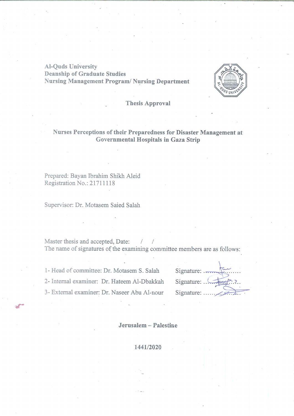**Al-Quds University Deanship of Graduate Studies** Nursing Management Program/ Nursing Department



**Thesis Approval** 

### Nurses Perceptions of their Preparedness for Disaster Management at Governmental Hospitals in Gaza Strip

Prepared: Bayan Ibrahim Shikh Aleid Registration No.: 21711118

Supervisor: Dr. Motasem Saied Salah

Master thesis and accepted, Date:  $\sqrt{2}$ The name of signatures of the examining committee members are as follows:

1- Head of committee: Dr. Motasem S. Salah

2- Internal examiner: Dr. Hateem Al-Dbakkah

3- External examiner: Dr. Naseer Abu Al-nour

| Signature: $\overline{\phantom{a}}$ |  |
|-------------------------------------|--|
| Signature: !                        |  |
|                                     |  |

Jerusalem -- Palestine

1441/2020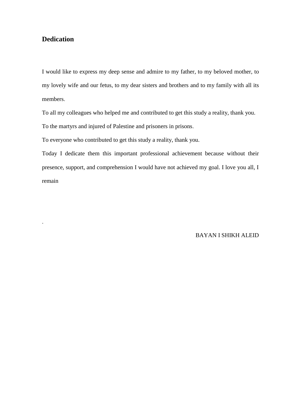### <span id="page-3-0"></span>**Dedication**

.

I would like to express my deep sense and admire to my father, to my beloved mother, to my lovely wife and our fetus, to my dear sisters and brothers and to my family with all its members.

To all my colleagues who helped me and contributed to get this study a reality, thank you.

To the martyrs and injured of Palestine and prisoners in prisons.

To everyone who contributed to get this study a reality, thank you.

Today I dedicate them this important professional achievement because without their presence, support, and comprehension I would have not achieved my goal. I love you all, I remain

BAYAN I SHIKH ALEID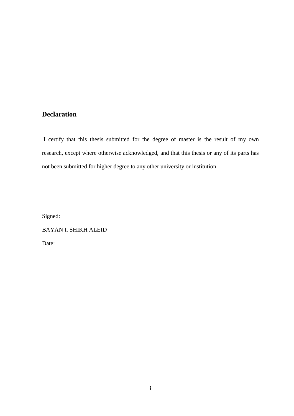### <span id="page-4-0"></span>**Declaration**

I certify that this thesis submitted for the degree of master is the result of my own research, except where otherwise acknowledged, and that this thesis or any of its parts has not been submitted for higher degree to any other university or institution

Signed:

BAYAN I. SHIKH ALEID

Date: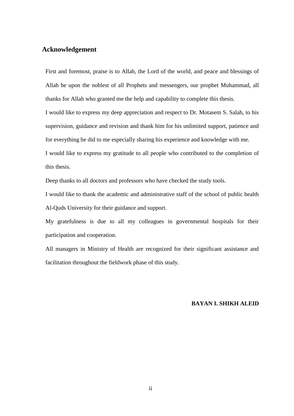### <span id="page-5-0"></span>**Acknowledgement**

First and foremost, praise is to Allah, the Lord of the world, and peace and blessings of Allah be upon the noblest of all Prophets and messengers, our prophet Muhammad, all thanks for Allah who granted me the help and capability to complete this thesis.

I would like to express my deep appreciation and respect to Dr. Motasem S. Salah, to his supervision, guidance and revision and thank him for his unlimited support, patience and for everything he did to me especially sharing his experience and knowledge with me.

I would like to express my gratitude to all people who contributed to the completion of this thesis.

Deep thanks to all doctors and professors who have checked the study tools.

I would like to thank the academic and administrative staff of the school of public health Al-Quds University for their guidance and support.

My gratefulness is due to all my colleagues in governmental hospitals for their participation and cooperation.

All managers in Ministry of Health are recognized for their significant assistance and facilitation throughout the fieldwork phase of this study.

### **BAYAN I. SHIKH ALEID**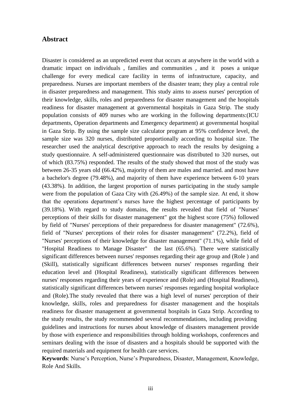### <span id="page-6-0"></span>**Abstract**

Disaster is considered as an unpredicted event that occurs at anywhere in the world with a dramatic impact on individuals , families and communities , and it poses a unique challenge for every medical care facility in terms of infrastructure, capacity, and preparedness. Nurses are important members of the disaster team; they play a central role in disaster preparedness and management. This study aims to assess nurses' perception of their knowledge, skills, roles and preparedness for disaster management and the hospitals readiness for disaster management at governmental hospitals in Gaza Strip. The study population consists of 409 nurses who are working in the following departments:(ICU departments, Operation departments and Emergency department) at governmental hospital in Gaza Strip. By using the sample size calculator program at 95% confidence level, the sample size was 320 nurses, distributed proportionally according to hospital size. The researcher used the analytical descriptive approach to reach the results by designing a study questionnaire. A self-administered questionnaire was distributed to 320 nurses, out of which (83.75%) responded. The results of the study showed that most of the study was between 26-35 years old (66.42%), majority of them are males and married. and most have a bachelor's degree (79.48%), and majority of them have experience between 6-10 years (43.38%). In addition, the largest proportion of nurses participating in the study sample were from the population of Gaza City with (26.49%) of the sample size. At end, it show that the operations department's nurses have the highest percentage of participants by (39.18%). With regard to study domains, the results revealed that field of "Nurses' perceptions of their skills for disaster management" got the highest score (75%) followed by field of "Nurses' perceptions of their preparedness for disaster management" (72.6%), field of "Nurses' perceptions of their roles for disaster management" (72.2%), field of "Nurses' perceptions of their knowledge for disaster management" (71.1%), while field of "Hospital Readiness to Manage Disaster" the last (65.6%). There were statistically significant differences between nurses' responses regarding their age group and (Role ) and (Skill), statistically significant differences between nurses' responses regarding their education level and (Hospital Readiness), statistically significant differences between nurses' responses regarding their years of experience and (Role) and (Hospital Readiness), statistically significant differences between nurses' responses regarding hospital workplace and (Role).The study revealed that there was a high level of nurses' perception of their knowledge, skills, roles and preparedness for disaster management and the hospitals readiness for disaster management at governmental hospitals in Gaza Strip. According to the study results, the study recommended several recommendations, including providing guidelines and instructions for nurses about knowledge of disasters management provide by those with experience and responsibilities through holding workshops, conferences and seminars dealing with the issue of disasters and a hospitals should be supported with the required materials and equipment for health care services.

**Keywords**: Nurse's Perception, Nurse's Preparedness, Disaster, Management, Knowledge, Role And Skills.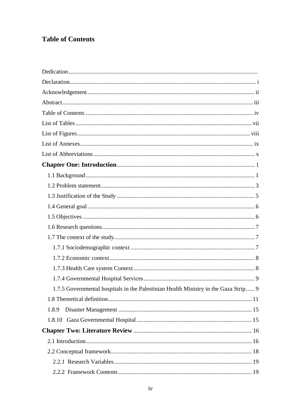### <span id="page-7-0"></span>**Table of Contents**

| 1.7.5 Governmental hospitals in the Palestinian Health Ministry in the Gaza Strip 9 |  |
|-------------------------------------------------------------------------------------|--|
|                                                                                     |  |
| 1.8.9                                                                               |  |
|                                                                                     |  |
|                                                                                     |  |
|                                                                                     |  |
|                                                                                     |  |
|                                                                                     |  |
|                                                                                     |  |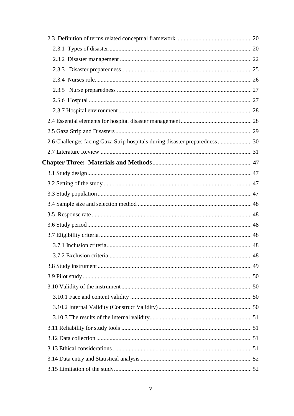| 2.6 Challenges facing Gaza Strip hospitals during disaster preparedness 30 |  |
|----------------------------------------------------------------------------|--|
|                                                                            |  |
|                                                                            |  |
|                                                                            |  |
|                                                                            |  |
|                                                                            |  |
|                                                                            |  |
|                                                                            |  |
|                                                                            |  |
|                                                                            |  |
|                                                                            |  |
|                                                                            |  |
|                                                                            |  |
|                                                                            |  |
|                                                                            |  |
|                                                                            |  |
|                                                                            |  |
|                                                                            |  |
|                                                                            |  |
|                                                                            |  |
|                                                                            |  |
|                                                                            |  |
|                                                                            |  |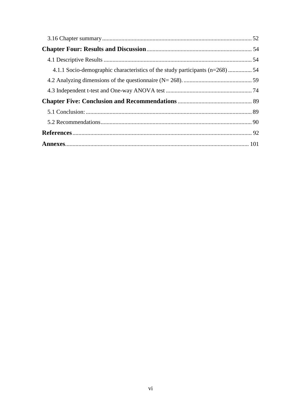| 4.1.1 Socio-demographic characteristics of the study participants (n=268) 54 |  |
|------------------------------------------------------------------------------|--|
|                                                                              |  |
|                                                                              |  |
|                                                                              |  |
|                                                                              |  |
|                                                                              |  |
|                                                                              |  |
|                                                                              |  |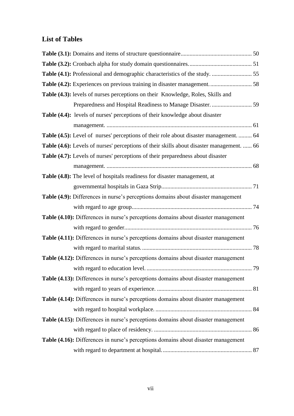### <span id="page-10-0"></span>**List of Tables**

| Table (4.3): levels of nurses perceptions on their Knowledge, Roles, Skills and           |  |
|-------------------------------------------------------------------------------------------|--|
|                                                                                           |  |
| Table (4.4): levels of nurses' perceptions of their knowledge about disaster              |  |
|                                                                                           |  |
| Table (4.5): Level of nurses' perceptions of their role about disaster management.  64    |  |
| Table (4.6): Levels of nurses' perceptions of their skills about disaster management.  66 |  |
| Table (4.7): Levels of nurses' perceptions of their preparedness about disaster           |  |
|                                                                                           |  |
| Table (4.8): The level of hospitals readiness for disaster management, at                 |  |
|                                                                                           |  |
| Table (4.9): Differences in nurse's perceptions domains about disaster management         |  |
|                                                                                           |  |
| Table (4.10): Differences in nurse's perceptions domains about disaster management        |  |
|                                                                                           |  |
| Table (4.11): Differences in nurse's perceptions domains about disaster management        |  |
|                                                                                           |  |
| Table (4.12): Differences in nurse's perceptions domains about disaster management        |  |
|                                                                                           |  |
| Table (4.13): Differences in nurse's perceptions domains about disaster management        |  |
|                                                                                           |  |
| Table (4.14): Differences in nurse's perceptions domains about disaster management        |  |
|                                                                                           |  |
| Table (4.15): Differences in nurse's perceptions domains about disaster management        |  |
|                                                                                           |  |
| Table (4.16): Differences in nurse's perceptions domains about disaster management        |  |
|                                                                                           |  |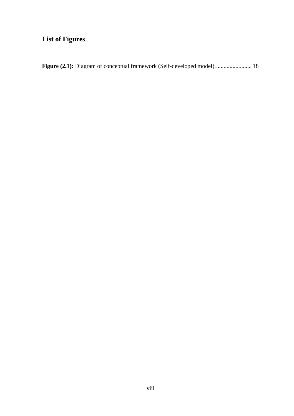## <span id="page-11-0"></span>**List of Figures**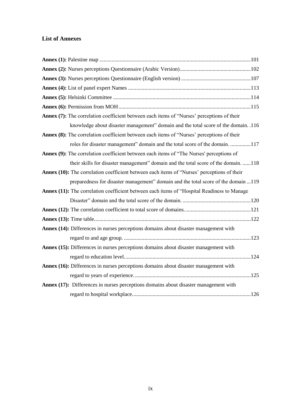### <span id="page-12-0"></span>**List of Annexes**

| Annex (7): The correlation coefficient between each items of "Nurses' perceptions of their      |  |
|-------------------------------------------------------------------------------------------------|--|
| knowledge about disaster management" domain and the total score of the domain. .116             |  |
| Annex (8): The correlation coefficient between each items of "Nurses' perceptions of their      |  |
| roles for disaster management" domain and the total score of the domain. 117                    |  |
| <b>Annex (9):</b> The correlation coefficient between each items of "The Nurses' perceptions of |  |
| their skills for disaster management" domain and the total score of the domain. 118             |  |
| Annex (10): The correlation coefficient between each items of "Nurses' perceptions of their     |  |
| preparedness for disaster management" domain and the total score of the domain 119              |  |
| Annex (11): The correlation coefficient between each items of "Hospital Readiness to Manage     |  |
|                                                                                                 |  |
|                                                                                                 |  |
|                                                                                                 |  |
| Annex (14): Differences in nurses perceptions domains about disaster management with            |  |
|                                                                                                 |  |
| Annex (15): Differences in nurses perceptions domains about disaster management with            |  |
|                                                                                                 |  |
| Annex (16): Differences in nurses perceptions domains about disaster management with            |  |
|                                                                                                 |  |
| Annex (17): Differences in nurses perceptions domains about disaster management with            |  |
|                                                                                                 |  |
|                                                                                                 |  |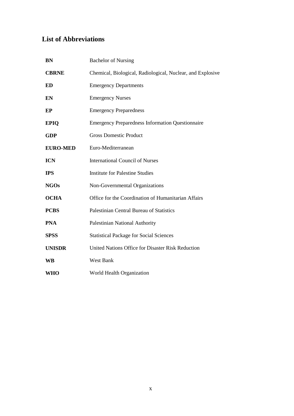## <span id="page-13-0"></span>**List of Abbreviations**

| <b>BN</b>       | <b>Bachelor of Nursing</b>                                 |
|-----------------|------------------------------------------------------------|
| <b>CBRNE</b>    | Chemical, Biological, Radiological, Nuclear, and Explosive |
| <b>ED</b>       | <b>Emergency Departments</b>                               |
| EN              | <b>Emergency Nurses</b>                                    |
| EP              | <b>Emergency Preparedness</b>                              |
| <b>EPIQ</b>     | <b>Emergency Preparedness Information Questionnaire</b>    |
| <b>GDP</b>      | <b>Gross Domestic Product</b>                              |
| <b>EURO-MED</b> | Euro-Mediterranean                                         |
| <b>ICN</b>      | <b>International Council of Nurses</b>                     |
| <b>IPS</b>      | <b>Institute for Palestine Studies</b>                     |
| <b>NGOs</b>     | Non-Governmental Organizations                             |
| <b>OCHA</b>     | Office for the Coordination of Humanitarian Affairs        |
| <b>PCBS</b>     | Palestinian Central Bureau of Statistics                   |
| <b>PNA</b>      | Palestinian National Authority                             |
| <b>SPSS</b>     | <b>Statistical Package for Social Sciences</b>             |
| <b>UNISDR</b>   | United Nations Office for Disaster Risk Reduction          |
| <b>WB</b>       | <b>West Bank</b>                                           |
| WHO             | World Health Organization                                  |